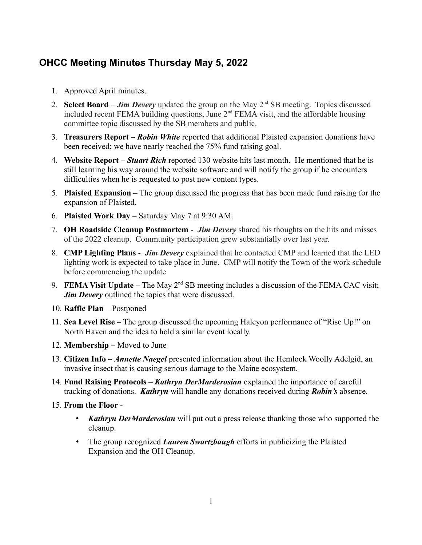## **OHCC Meeting Minutes Thursday May 5, 2022**

- 1. Approved April minutes.
- 2. **Select Board** *Jim Devery* updated the group on the May  $2^{nd}$  SB meeting. Topics discussed included recent FEMA building questions, June  $2<sup>nd</sup>$  FEMA visit, and the affordable housing committee topic discussed by the SB members and public.
- 3. **Treasurers Report** *Robin White* reported that additional Plaisted expansion donations have been received; we have nearly reached the 75% fund raising goal.
- 4. **Website Report** *Stuart Rich* reported 130 website hits last month. He mentioned that he is still learning his way around the website software and will notify the group if he encounters difficulties when he is requested to post new content types.
- 5. **Plaisted Expansion** The group discussed the progress that has been made fund raising for the expansion of Plaisted.
- 6. **Plaisted Work Day** Saturday May 7 at 9:30 AM.
- 7. **OH Roadside Cleanup Postmortem** *Jim Devery* shared his thoughts on the hits and misses of the 2022 cleanup. Community participation grew substantially over last year.
- 8. **CMP Lighting Plans** *Jim Devery* explained that he contacted CMP and learned that the LED lighting work is expected to take place in June. CMP will notify the Town of the work schedule before commencing the update
- 9. **FEMA Visit Update** The May  $2^{nd}$  SB meeting includes a discussion of the FEMA CAC visit; *Jim Devery* outlined the topics that were discussed.
- 10. **Raffle Plan** Postponed
- 11. **Sea Level Rise** The group discussed the upcoming Halcyon performance of "Rise Up!" on North Haven and the idea to hold a similar event locally.
- 12. **Membership** Moved to June
- 13. **Citizen Info** *Annette Naegel* presented information about the Hemlock Woolly Adelgid, an invasive insect that is causing serious damage to the Maine ecosystem.
- 14. **Fund Raising Protocols** *Kathryn DerMarderosian* explained the importance of careful tracking of donations. *Kathryn* will handle any donations received during *Robin's* absence.
- 15. **From the Floor**
	- *Kathryn DerMarderosian* will put out a press release thanking those who supported the cleanup.
	- The group recognized *Lauren Swartzbaugh* efforts in publicizing the Plaisted Expansion and the OH Cleanup.